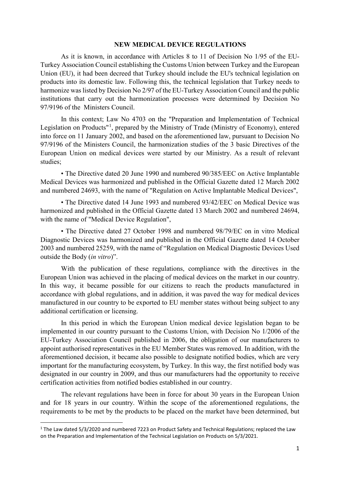## **NEW MEDICAL DEVICE REGULATIONS**

As it is known, in accordance with Articles 8 to 11 of Decision No 1/95 of the EU-Turkey Association Council establishing the Customs Union between Turkey and the European Union (EU), it had been decreed that Turkey should include the EU's technical legislation on products into its domestic law. Following this, the technical legislation that Turkey needs to harmonize was listed by Decision No 2/97 of the EU-Turkey Association Council and the public institutions that carry out the harmonization processes were determined by Decision No 97/9196 of the Ministers Council.

In this context; Law No 4703 on the "Preparation and Implementation of Technical Legislation on Products"<sup>[1](#page-0-0)</sup>, prepared by the Ministry of Trade (Ministry of Economy), entered into force on 11 January 2002, and based on the aforementioned law, pursuant to Decision No 97/9196 of the Ministers Council, the harmonization studies of the 3 basic Directives of the European Union on medical devices were started by our Ministry. As a result of relevant studies;

• The Directive dated 20 June 1990 and numbered 90/385/EEC on Active Implantable Medical Devices was harmonized and published in the Official Gazette dated 12 March 2002 and numbered 24693, with the name of "Regulation on Active Implantable Medical Devices",

• The Directive dated 14 June 1993 and numbered 93/42/EEC on Medical Device was harmonized and published in the Official Gazette dated 13 March 2002 and numbered 24694, with the name of "Medical Device Regulation",

• The Directive dated 27 October 1998 and numbered 98/79/EC on in vitro Medical Diagnostic Devices was harmonized and published in the Official Gazette dated 14 October 2003 and numbered 25259, with the name of "Regulation on Medical Diagnostic Devices Used outside the Body (*in vitro*)".

With the publication of these regulations, compliance with the directives in the European Union was achieved in the placing of medical devices on the market in our country. In this way, it became possible for our citizens to reach the products manufactured in accordance with global regulations, and in addition, it was paved the way for medical devices manufactured in our country to be exported to EU member states without being subject to any additional certification or licensing.

In this period in which the European Union medical device legislation began to be implemented in our country pursuant to the Customs Union, with Decision No 1/2006 of the EU-Turkey Association Council published in 2006, the obligation of our manufacturers to appoint authorised representatives in the EU Member States was removed. In addition, with the aforementioned decision, it became also possible to designate notified bodies, which are very important for the manufacturing ecosystem, by Turkey. In this way, the first notified body was designated in our country in 2009, and thus our manufacturers had the opportunity to receive certification activities from notified bodies established in our country.

The relevant regulations have been in force for about 30 years in the European Union and for 18 years in our country. Within the scope of the aforementioned regulations, the requirements to be met by the products to be placed on the market have been determined, but

<span id="page-0-0"></span> <sup>1</sup> The Law dated 5/3/2020 and numbered 7223 on Product Safety and Technical Regulations; replaced the Law on the Preparation and Implementation of the Technical Legislation on Products on 5/3/2021.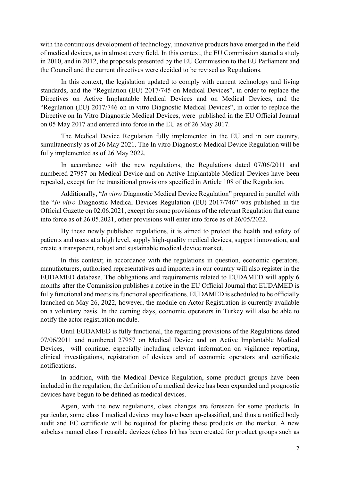with the continuous development of technology, innovative products have emerged in the field of medical devices, as in almost every field. In this context, the EU Commission started a study in 2010, and in 2012, the proposals presented by the EU Commission to the EU Parliament and the Council and the current directives were decided to be revised as Regulations.

In this context, the legislation updated to comply with current technology and living standards, and the "Regulation (EU) 2017/745 on Medical Devices", in order to replace the Directives on Active Implantable Medical Devices and on Medical Devices, and the "Regulation (EU) 2017/746 on in vitro Diagnostic Medical Devices", in order to replace the Directive on In Vitro Diagnostic Medical Devices, were published in the EU Official Journal on 05 May 2017 and entered into force in the EU as of 26 May 2017.

The Medical Device Regulation fully implemented in the EU and in our country, simultaneously as of 26 May 2021. The In vitro Diagnostic Medical Device Regulation will be fully implemented as of 26 May 2022.

In accordance with the new regulations, the Regulations dated 07/06/2011 and numbered 27957 on Medical Device and on Active Implantable Medical Devices have been repealed, except for the transitional provisions specified in Article 108 of the Regulation.

Additionally, "*In vitro* Diagnostic Medical Device Regulation" prepared in parallel with the "*In vitro* Diagnostic Medical Devices Regulation (EU) 2017/746" was published in the Official Gazette on 02.06.2021, except for some provisions of the relevant Regulation that came into force as of 26.05.2021, other provisions will enter into force as of 26/05/2022.

By these newly published regulations, it is aimed to protect the health and safety of patients and users at a high level, supply high-quality medical devices, support innovation, and create a transparent, robust and sustainable medical device market.

In this context; in accordance with the regulations in question, economic operators, manufacturers, authorised representatives and importers in our country will also register in the EUDAMED database. The obligations and requirements related to EUDAMED will apply 6 months after the Commission publishes a notice in the EU Official Journal that EUDAMED is fully functional and meets its functional specifications. EUDAMED is scheduled to be officially launched on May 26, 2022, however, the module on Actor Registration is currently available on a voluntary basis. In the coming days, economic operators in Turkey will also be able to notify the actor registration module.

Until EUDAMED is fully functional, the regarding provisions of the Regulations dated 07/06/2011 and numbered 27957 on Medical Device and on Active Implantable Medical Devices, will continue, especially including relevant information on vigilance reporting, clinical investigations, registration of devices and of economic operators and certificate notifications.

In addition, with the Medical Device Regulation, some product groups have been included in the regulation, the definition of a medical device has been expanded and prognostic devices have begun to be defined as medical devices.

Again, with the new regulations, class changes are foreseen for some products. In particular, some class I medical devices may have been up-classified, and thus a notified body audit and EC certificate will be required for placing these products on the market. A new subclass named class I reusable devices (class Ir) has been created for product groups such as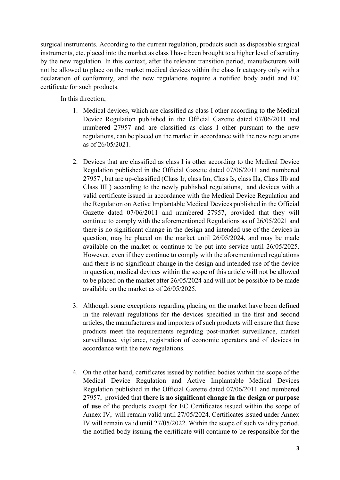surgical instruments. According to the current regulation, products such as disposable surgical instruments, etc. placed into the market as class I have been brought to a higher level of scrutiny by the new regulation. In this context, after the relevant transition period, manufacturers will not be allowed to place on the market medical devices within the class Ir category only with a declaration of conformity, and the new regulations require a notified body audit and EC certificate for such products.

In this direction;

- 1. Medical devices, which are classified as class I other according to the Medical Device Regulation published in the Official Gazette dated 07/06/2011 and numbered 27957 and are classified as class I other pursuant to the new regulations, can be placed on the market in accordance with the new regulations as of 26/05/2021.
- 2. Devices that are classified as class I is other according to the Medical Device Regulation published in the Official Gazette dated 07/06/2011 and numbered 27957 , but are up-classified (Class Ir, class Im, Class Is, class IIa, Class IIb and Class III ) according to the newly published regulations, and devices with a valid certificate issued in accordance with the Medical Device Regulation and the Regulation on Active Implantable Medical Devices published in the Official Gazette dated 07/06/2011 and numbered 27957, provided that they will continue to comply with the aforementioned Regulations as of 26/05/2021 and there is no significant change in the design and intended use of the devices in question, may be placed on the market until 26/05/2024, and may be made available on the market or continue to be put into service until 26/05/2025. However, even if they continue to comply with the aforementioned regulations and there is no significant change in the design and intended use of the device in question, medical devices within the scope of this article will not be allowed to be placed on the market after 26/05/2024 and will not be possible to be made available on the market as of 26/05/2025.
- 3. Although some exceptions regarding placing on the market have been defined in the relevant regulations for the devices specified in the first and second articles, the manufacturers and importers of such products will ensure that these products meet the requirements regarding post-market surveillance, market surveillance, vigilance, registration of economic operators and of devices in accordance with the new regulations.
- 4. On the other hand, certificates issued by notified bodies within the scope of the Medical Device Regulation and Active Implantable Medical Devices Regulation published in the Official Gazette dated 07/06/2011 and numbered 27957, provided that **there is no significant change in the design or purpose of use** of the products except for EC Certificates issued within the scope of Annex IV, will remain valid until 27/05/2024. Certificates issued under Annex IV will remain valid until 27/05/2022. Within the scope of such validity period, the notified body issuing the certificate will continue to be responsible for the